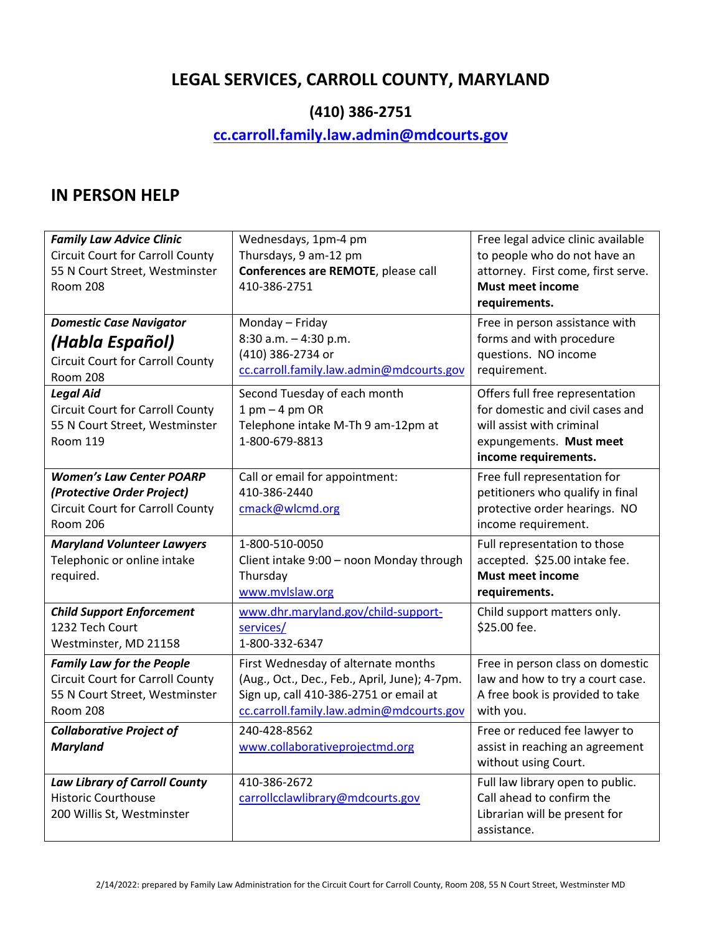# **LEGAL SERVICES, CARROLL COUNTY, MARYLAND**

# **(410) 386-2751**

# **[cc.carroll.family.law.admin@mdcourts.gov](mailto:cc.carroll.family.law.admin@mdcourts.gov)**

#### **IN PERSON HELP**

| <b>Family Law Advice Clinic</b><br><b>Circuit Court for Carroll County</b><br>55 N Court Street, Westminster<br><b>Room 208</b>  | Wednesdays, 1pm-4 pm<br>Thursdays, 9 am-12 pm<br>Conferences are REMOTE, please call<br>410-386-2751                                                                       | Free legal advice clinic available<br>to people who do not have an<br>attorney. First come, first serve.<br><b>Must meet income</b><br>requirements. |
|----------------------------------------------------------------------------------------------------------------------------------|----------------------------------------------------------------------------------------------------------------------------------------------------------------------------|------------------------------------------------------------------------------------------------------------------------------------------------------|
| <b>Domestic Case Navigator</b><br>(Habla Español)<br><b>Circuit Court for Carroll County</b><br><b>Room 208</b>                  | Monday - Friday<br>8:30 a.m. - 4:30 p.m.<br>(410) 386-2734 or<br>cc.carroll.family.law.admin@mdcourts.gov                                                                  | Free in person assistance with<br>forms and with procedure<br>questions. NO income<br>requirement.                                                   |
| <b>Legal Aid</b><br><b>Circuit Court for Carroll County</b><br>55 N Court Street, Westminster<br><b>Room 119</b>                 | Second Tuesday of each month<br>$1$ pm $-4$ pm OR<br>Telephone intake M-Th 9 am-12pm at<br>1-800-679-8813                                                                  | Offers full free representation<br>for domestic and civil cases and<br>will assist with criminal<br>expungements. Must meet<br>income requirements.  |
| <b>Women's Law Center POARP</b><br>(Protective Order Project)<br><b>Circuit Court for Carroll County</b><br><b>Room 206</b>      | Call or email for appointment:<br>410-386-2440<br>cmack@wlcmd.org                                                                                                          | Free full representation for<br>petitioners who qualify in final<br>protective order hearings. NO<br>income requirement.                             |
| <b>Maryland Volunteer Lawyers</b><br>Telephonic or online intake<br>required.                                                    | 1-800-510-0050<br>Client intake 9:00 - noon Monday through<br>Thursday<br>www.mvlslaw.org                                                                                  | Full representation to those<br>accepted. \$25.00 intake fee.<br><b>Must meet income</b><br>requirements.                                            |
| <b>Child Support Enforcement</b><br>1232 Tech Court<br>Westminster, MD 21158                                                     | www.dhr.maryland.gov/child-support-<br>services/<br>1-800-332-6347                                                                                                         | Child support matters only.<br>\$25.00 fee.                                                                                                          |
| <b>Family Law for the People</b><br><b>Circuit Court for Carroll County</b><br>55 N Court Street, Westminster<br><b>Room 208</b> | First Wednesday of alternate months<br>(Aug., Oct., Dec., Feb., April, June); 4-7pm.<br>Sign up, call 410-386-2751 or email at<br>cc.carroll.family.law.admin@mdcourts.gov | Free in person class on domestic<br>law and how to try a court case.<br>A free book is provided to take<br>with you.                                 |
| <b>Collaborative Project of</b><br><b>Maryland</b>                                                                               | 240-428-8562<br>www.collaborativeprojectmd.org                                                                                                                             | Free or reduced fee lawyer to<br>assist in reaching an agreement<br>without using Court.                                                             |
| <b>Law Library of Carroll County</b><br><b>Historic Courthouse</b><br>200 Willis St, Westminster                                 | 410-386-2672<br>carrollcclawlibrary@mdcourts.gov                                                                                                                           | Full law library open to public.<br>Call ahead to confirm the<br>Librarian will be present for<br>assistance.                                        |